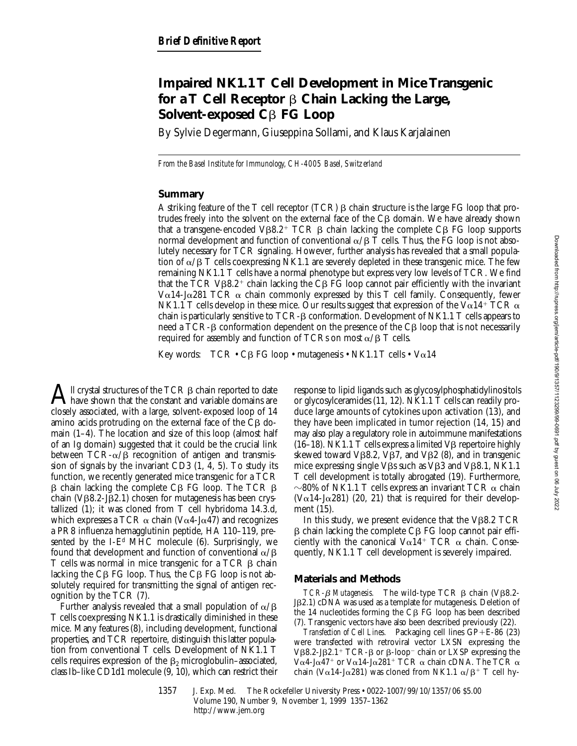# **Impaired NK1.1 T Cell Development in Mice Transgenic for a T Cell Receptor** b **Chain Lacking the Large, Solvent-exposed C**b **FG Loop**

By Sylvie Degermann, Giuseppina Sollami, and Klaus Karjalainen

*From the Basel Institute for Immunology, CH-4005 Basel, Switzerland*

#### **Summary**

A striking feature of the T cell receptor (TCR)  $\beta$  chain structure is the large FG loop that protrudes freely into the solvent on the external face of the  $C\beta$  domain. We have already shown that a transgene-encoded V $\beta$ 8.2<sup>+</sup> TCR  $\beta$  chain lacking the complete C $\beta$  FG loop supports normal development and function of conventional  $\alpha/\beta$  T cells. Thus, the FG loop is not absolutely necessary for TCR signaling. However, further analysis has revealed that a small population of  $\alpha/\beta$  T cells coexpressing NK1.1 are severely depleted in these transgenic mice. The few remaining NK1.1 T cells have a normal phenotype but express very low levels of TCR. We find that the TCR V $\beta$ 8.2<sup>+</sup> chain lacking the C $\beta$  FG loop cannot pair efficiently with the invariant V $\alpha$ 14-J $\alpha$ 281 TCR  $\alpha$  chain commonly expressed by this T cell family. Consequently, fewer NK1.1 T cells develop in these mice. Our results suggest that expression of the V $\alpha$ 14<sup>+</sup> TCR  $\alpha$ chain is particularly sensitive to  $TCR$ - $\beta$  conformation. Development of NK1.1 T cells appears to need a TCR- $\beta$  conformation dependent on the presence of the C $\beta$  loop that is not necessarily required for assembly and function of TCRs on most  $\alpha/\beta$  T cells.

Key words:  $TCR \cdot CB FG loop \cdot mutagenesis \cdot NK1.1 T cells \cdot Va14$ 

 $\bigwedge$ ll crystal structures of the TCR  $\beta$  chain reported to date<br>obtains are algorithment and variable domains are closely associated, with a large, solvent-exposed loop of 14 amino acids protruding on the external face of the  $C\beta$  domain (1–4). The location and size of this loop (almost half of an Ig domain) suggested that it could be the crucial link between  $TCR-\alpha/\beta$  recognition of antigen and transmission of signals by the invariant CD3  $(1, 4, 5)$ . To study its function, we recently generated mice transgenic for a TCR  $\beta$  chain lacking the complete C $\beta$  FG loop. The TCR  $\beta$ chain (V $\beta$ 8.2-J $\beta$ 2.1) chosen for mutagenesis has been crystallized (1); it was cloned from T cell hybridoma 14.3.d, which expresses a TCR  $\alpha$  chain (V $\alpha$ 4-J $\alpha$ 47) and recognizes a PR8 influenza hemagglutinin peptide, HA 110–119, presented by the I- $E<sup>d</sup>$  MHC molecule (6). Surprisingly, we found that development and function of conventional  $\alpha/\beta$ T cells was normal in mice transgenic for a TCR  $\beta$  chain lacking the  $C\beta$  FG loop. Thus, the  $C\beta$  FG loop is not absolutely required for transmitting the signal of antigen recognition by the TCR (7).

Further analysis revealed that a small population of  $\alpha/\beta$ T cells coexpressing NK1.1 is drastically diminished in these mice. Many features (8), including development, functional properties, and TCR repertoire, distinguish this latter population from conventional T cells. Development of NK1.1 T cells requires expression of the  $\beta_2$  microglobulin–associated, class Ib–like CD1d1 molecule (9, 10), which can restrict their

response to lipid ligands such as glycosylphosphatidylinositols or glycosylceramides (11, 12). NK1.1 T cells can readily produce large amounts of cytokines upon activation (13), and they have been implicated in tumor rejection (14, 15) and may also play a regulatory role in autoimmune manifestations (16–18). NK1.1 T cells express a limited V $\beta$  repertoire highly skewed toward V $\beta$ 8.2, V $\beta$ 7, and V $\beta$ 2 (8), and in transgenic mice expressing single V $\beta$ s such as V $\beta$ 3 and V $\beta$ 8.1, NK1.1 T cell development is totally abrogated (19). Furthermore,  $\sim$ 80% of NK1.1 T cells express an invariant TCR  $\alpha$  chain (V $\alpha$ 14-J $\alpha$ 281) (20, 21) that is required for their development (15).

In this study, we present evidence that the  $V\beta8.2$  TCR  $\beta$  chain lacking the complete C $\beta$  FG loop cannot pair efficiently with the canonical  $Va14+TCR$   $\alpha$  chain. Consequently, NK1.1 T cell development is severely impaired.

#### **Materials and Methods**

 $TCR-\beta$  *Mutagenesis.* The wild-type TCR  $\beta$  chain (V $\beta$ 8.2-J<sub>B2.1</sub>) cDNA was used as a template for mutagenesis. Deletion of the  $14$  nucleotides forming the C $\beta$  FG loop has been described (7). Transgenic vectors have also been described previously (22).

*Transfection of Cell Lines.* Packaging cell lines GP+E-86 (23) were transfected with retroviral vector LXSN expressing the V $\beta$ 8.2-J $\beta$ 2.1<sup>+</sup> TCR- $\beta$  or  $\beta$ -loop<sup>-</sup> chain or LXSP expressing the V $\alpha$ 4-J $\alpha$ 47<sup>+</sup> or V $\alpha$ 14-J $\alpha$ 281<sup>+</sup> TCR  $\alpha$  chain cDNA. The TCR  $\alpha$ chain (V $\alpha$ 14-J $\alpha$ 281) was cloned from NK1.1  $\alpha$ / $\beta$ <sup>+</sup> T cell hy-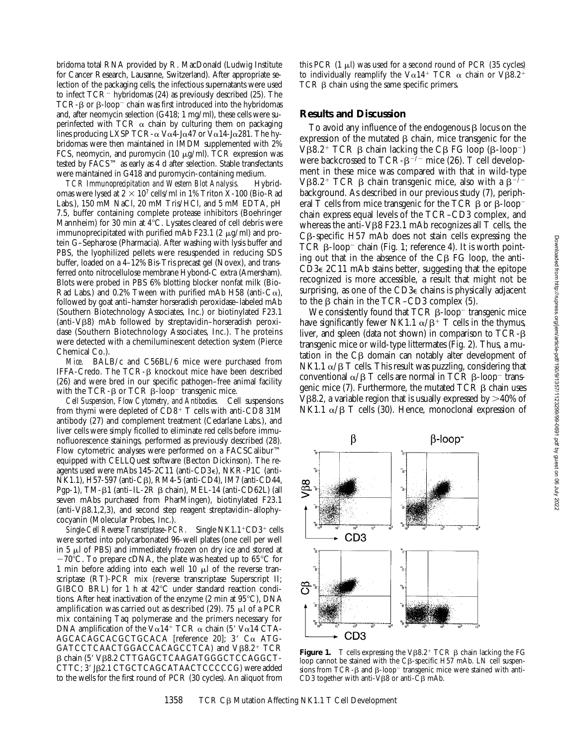bridoma total RNA provided by R. MacDonald (Ludwig Institute for Cancer Research, Lausanne, Switzerland). After appropriate selection of the packaging cells, the infectious supernatants were used to infect  $TCR^-$  hybridomas (24) as previously described (25). The TCR- $\beta$  or  $\beta$ -loop<sup>-</sup> chain was first introduced into the hybridomas and, after neomycin selection (G418; 1 mg/ml), these cells were superinfected with TCR  $\alpha$  chain by culturing them on packaging lines producing LXSP TCR- $\alpha$  V $\alpha$ 4-J $\alpha$ 47 or V $\alpha$ 14-J $\alpha$ 281. The hybridomas were then maintained in IMDM supplemented with 2% FCS, neomycin, and puromycin  $(10 \mu g/ml)$ . TCR expression was tested by FACS™ as early as 4 d after selection. Stable transfectants were maintained in G418 and puromycin-containing medium.

*TCR Immunoprecipitation and Western Blot Analysis.* Hybridomas were lysed at  $2 \times 10^7$  cells/ml in 1% Triton X-100 (Bio-Rad Labs.), 150 mM NaCl, 20 mM Tris/HCl, and 5 mM EDTA, pH 7.5, buffer containing complete protease inhibitors (Boehringer Mannheim) for 30 min at  $4^{\circ}$ C. Lysates cleared of cell debris were immunoprecipitated with purified mAb F23.1 (2  $\mu$ g/ml) and protein G–Sepharose (Pharmacia). After washing with lysis buffer and PBS, the lyophilized pellets were resuspended in reducing SDS buffer, loaded on a 4–12% Bis-Tris precast gel (Novex), and transferred onto nitrocellulose membrane Hybond-C extra (Amersham). Blots were probed in PBS 6% blotting blocker nonfat milk (Bio-Rad Labs.) and 0.2% Tween with purified mAb H58 (anti-C $\alpha$ ), followed by goat anti–hamster horseradish peroxidase–labeled mAb (Southern Biotechnology Associates, Inc.) or biotinylated F23.1  $(anti-V\beta8)$  mAb followed by streptavidin–horseradish peroxidase (Southern Biotechnology Associates, Inc.). The proteins were detected with a chemiluminescent detection system (Pierce Chemical Co.).

*Mice.* BALB/c and C56BL/6 mice were purchased from IFFA-Credo. The TCR-b knockout mice have been described (26) and were bred in our specific pathogen–free animal facility with the TCR- $\beta$  or TCR  $\beta$ -loop<sup>-</sup> transgenic mice.

*Cell Suspension, Flow Cytometry, and Antibodies.* Cell suspensions from thymi were depleted of  $CD8^+$  T cells with anti-CD8 31M antibody (27) and complement treatment (Cedarlane Labs.), and liver cells were simply ficolled to eliminate red cells before immunofluorescence stainings, performed as previously described (28). Flow cytometric analyses were performed on a FACSCalibur™ equipped with CELLQuest software (Becton Dickinson). The reagents used were mAbs 145-2C11 (anti-CD3e), NKR-P1C (anti-NK1.1), H57-597 (anti-C $\beta$ ), RM4-5 (anti-CD4), IM7 (anti-CD44, Pgp-1), TM- $\beta$ 1 (anti–IL- $2R \beta$  chain), MEL-14 (anti-CD62L) (all seven mAbs purchased from PharMingen), biotinylated F23.1  $\alpha$  (anti-V $\beta$ 8.1,2,3), and second step reagent streptavidin–allophycocyanin (Molecular Probes, Inc.).

*Single-Cell Reverse Transcriptase–PCR.* Single NK1.1<sup>+</sup>CD3<sup>+</sup> cells were sorted into polycarbonated 96-well plates (one cell per well in  $5 \mu$  of PBS) and immediately frozen on dry ice and stored at  $-70^{\circ}$ C. To prepare cDNA, the plate was heated up to 65 $^{\circ}$ C for 1 min before adding into each well 10  $\mu$ l of the reverse transcriptase (RT)-PCR mix (reverse transcriptase Superscript II; GIBCO BRL) for 1 h at  $42^{\circ}$ C under standard reaction conditions. After heat inactivation of the enzyme  $(2 \text{ min at } 95^{\circ} \text{C})$ , DNA amplification was carried out as described (29). 75  $\mu$ l of a PCR mix containing Taq polymerase and the primers necessary for DNA amplification of the V $\alpha$ 14<sup>+</sup> TCR  $\alpha$  chain (5' V $\alpha$ 14 CTA- $AGCACAGCACGCTGCACA$  [reference 20]; 3'  $C\alpha$  ATG- $GATCCTCAACTGGACCACAGCCTCA)$  and  $V\beta8.2^+$  TCR  $\beta$  chain (5' Vβ8.2 CTTGAGCTCAAGATGGGCTCCAGGCT-CTTC; 3' JB2.1 CTGCTCAGCATAACTCCCCCG) were added to the wells for the first round of PCR (30 cycles). An aliquot from this PCR  $(1 \mu l)$  was used for a second round of PCR  $(35 \text{ cycles})$ to individually reamplify the V $\alpha$ 14<sup>+</sup> TCR  $\alpha$  chain or V $\beta$ 8.2<sup>+</sup> TCR  $\beta$  chain using the same specific primers.

## **Results and Discussion**

To avoid any influence of the endogenous  $\beta$  locus on the expression of the mutated  $\beta$  chain, mice transgenic for the V $\beta$ 8.2<sup>+</sup> TCR  $\beta$  chain lacking the C $\beta$  FG loop ( $\beta$ -loop<sup>-</sup>) were backcrossed to TCR- $\beta$ <sup>-/-</sup> mice (26). T cell development in these mice was compared with that in wild-type V $\beta$ 8.2<sup>+</sup> TCR  $\beta$  chain transgenic mice, also with a  $\beta^{-2}$ background. As described in our previous study (7), peripheral T cells from mice transgenic for the TCR  $\beta$  or  $\beta$ -loop<sup>-</sup> chain express equal levels of the TCR–CD3 complex, and whereas the anti-V $\beta$ 8 F23.1 mAb recognizes all T cells, the  $C\beta$ -specific H57 mAb does not stain cells expressing the TCR  $\beta$ -loop<sup>-</sup> chain (Fig. 1; reference 4). It is worth pointing out that in the absence of the  $C\beta$  FG loop, the anti- $CD3\epsilon$  2C11 mAb stains better, suggesting that the epitope recognized is more accessible, a result that might not be surprising, as one of the CD3e chains is physically adjacent to the  $\beta$  chain in the TCR–CD3 complex (5).

We consistently found that  $TCR \beta$ -loop<sup>-</sup> transgenic mice have significantly fewer NK1.1  $\alpha/\beta$ <sup>+</sup> T cells in the thymus, liver, and spleen (data not shown) in comparison to TCR-b transgenic mice or wild-type littermates (Fig. 2). Thus, a mutation in the C<sub>B</sub> domain can notably alter development of NK1.1  $\alpha$ / $\beta$  T cells. This result was puzzling, considering that conventional  $\alpha/\beta$  T cells are normal in TCR  $\beta$ -loop<sup>-</sup> transgenic mice (7). Furthermore, the mutated  $TCR$   $\beta$  chain uses  $V\beta8.2$ , a variable region that is usually expressed by  $>40\%$  of NK1.1  $\alpha$ / $\beta$  T cells (30). Hence, monoclonal expression of



**Figure 1.** T cells expressing the V $\beta$ 8.2<sup>+</sup> TCR  $\beta$  chain lacking the FG loop cannot be stained with the C $\beta$ -specific H57 mAb. LN cell suspensions from  $TCR$ - $\beta$  and  $\beta$ -loop<sup>-</sup> transgenic mice were stained with anti-CD3 together with anti-V $\beta$ 8 or anti-C $\beta$  mAb.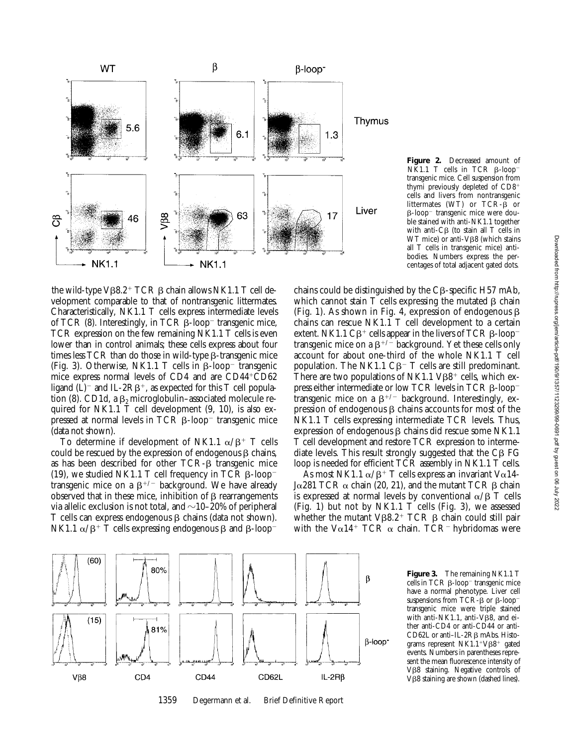

**Figure 2.** Decreased amount of NK1.1 T cells in TCR  $\beta$ -loop<sup>-</sup> transgenic mice. Cell suspension from thymi previously depleted of  $CD8<sup>+</sup>$ cells and livers from nontransgenic littermates (WT) or  $TCR-\overset{\circ}{\beta}$  or  $\beta$ -loop<sup>-</sup> transgenic mice were double stained with anti-NK1.1 together with anti- $C\beta$  (to stain all T cells in WT mice) or anti-V<sub>B8</sub> (which stains all T cells in transgenic mice) antibodies. Numbers express the percentages of total adjacent gated dots.

the wild-type V $\beta$ 8.2<sup>+</sup> TCR  $\beta$  chain allows NK1.1 T cell development comparable to that of nontransgenic littermates. Characteristically, NK1.1 T cells express intermediate levels of TCR  $(8)$ . Interestingly, in TCR  $\beta$ -loop<sup>-</sup> transgenic mice, TCR expression on the few remaining NK1.1 T cells is even lower than in control animals; these cells express about four times less  $TCR$  than do those in wild-type  $\beta$ -transgenic mice (Fig. 3). Otherwise, NK1.1 T cells in  $\beta$ -loop<sup>-</sup> transgenic mice express normal levels of CD4 and are  $CD44+CD62$ ligand (L)<sup>-</sup> and IL-2R $\beta$ <sup>+</sup>, as expected for this T cell population (8). CD1d, a  $\beta_2$  microglobulin–associated molecule required for NK1.1 T cell development (9, 10), is also expressed at normal levels in  $TCR$   $\beta$ -loop<sup>-</sup> transgenic mice (data not shown).

To determine if development of NK1.1  $\alpha/\beta$ <sup>+</sup> T cells could be rescued by the expression of endogenous  $\beta$  chains, as has been described for other  $TCR-\beta$  transgenic mice (19), we studied NK1.1 T cell frequency in TCR  $\beta$ -loop<sup>-</sup> transgenic mice on a  $\beta^{+/-}$  background. We have already observed that in these mice, inhibition of  $\beta$  rearrangements via allelic exclusion is not total, and  $\sim$ 10–20% of peripheral T cells can express endogenous  $\beta$  chains (data not shown). NK1.1  $\alpha/\beta$ <sup>+</sup> T cells expressing endogenous  $\beta$  and  $\beta$ -loop<sup>-</sup>

chains could be distinguished by the  $C\beta$ -specific H57 mAb, which cannot stain  $T$  cells expressing the mutated  $\beta$  chain (Fig. 1). As shown in Fig. 4, expression of endogenous  $\beta$ chains can rescue NK1.1 T cell development to a certain extent. NK1.1  $C\beta^+$  cells appear in the livers of TCR  $\beta$ -loop<sup>-</sup> transgenic mice on a  $\beta^{+/-}$  background. Yet these cells only account for about one-third of the whole NK1.1 T cell population. The NK1.1  $C\beta$ <sup>-</sup> T cells are still predominant. There are two populations of NK1.1  $V\beta8^+$  cells, which express either intermediate or low TCR levels in TCR  $\beta$ -loop<sup>-</sup> transgenic mice on a  $\beta^{+/-}$  background. Interestingly, expression of endogenous  $\beta$  chains accounts for most of the NK1.1 T cells expressing intermediate TCR levels. Thus, expression of endogenous  $\beta$  chains did rescue some NK1.1 T cell development and restore TCR expression to intermediate levels. This result strongly suggested that the  $C\beta$  FG loop is needed for efficient TCR assembly in NK1.1 T cells.

As most NK1.1  $\alpha/\beta$ <sup>+</sup> T cells express an invariant V $\alpha$ 14-Jα281 TCR  $\alpha$  chain (20, 21), and the mutant TCR  $\beta$  chain is expressed at normal levels by conventional  $\alpha/\beta$  T cells (Fig. 1) but not by NK1.1 T cells (Fig. 3), we assessed whether the mutant V $\beta$ 8.2<sup>+</sup> TCR  $\beta$  chain could still pair with the V $\alpha$ 14<sup>+</sup> TCR  $\alpha$  chain. TCR<sup>-</sup> hybridomas were



1359 Degermann et al. Brief Definitive Report

**Figure 3.** The remaining NK1.1 T  $\overline{\text{cells}}$  in TCR  $\beta$ -loop<sup>-</sup> transgenic mice have a normal phenotype. Liver cell suspensions from TCR- $\beta$  or  $\beta$ -loop<sup>-</sup> transgenic mice were triple stained with anti-NK1.1, anti-V $\hat{\beta}$ 8, and either anti-CD4 or anti-CD44 or anti-CD62L or anti-IL-2Rβ mAbs. Histograms represent  $NK1.1+V\beta8+$  gated events. Numbers in parentheses represent the mean fluorescence intensity of Vβ8 staining. Negative controls of V<sub>B</sub>8 staining are shown (dashed lines).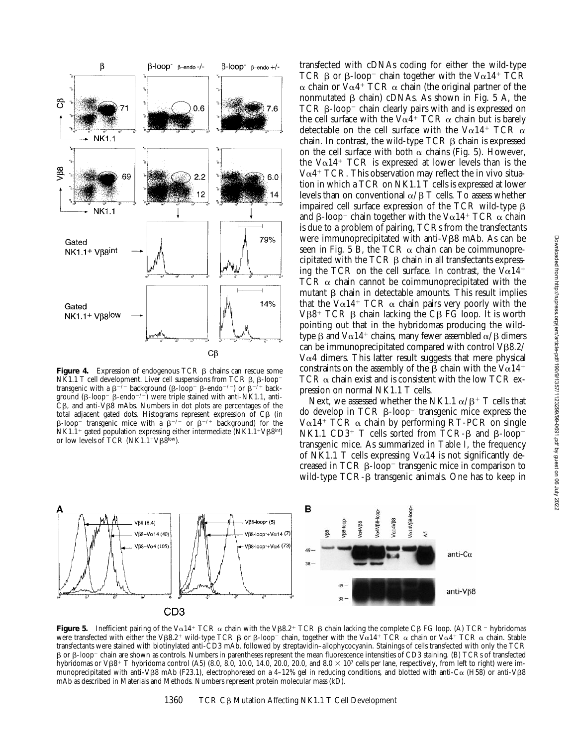

**Figure 4.** Expression of endogenous TCR  $\beta$  chains can rescue some NK1.1 T cell development. Liver cell suspensions from TCR  $\beta$ ,  $\beta$ -loop<sup>-</sup> transgenic with a  $\beta^{-/-}$  background ( $\beta$ -loop<sup>-</sup>  $\beta$ -endo<sup>-/-</sup>) or  $\beta^{-/-}$  background ( $\beta$ -loop<sup>-</sup>  $\beta$ -endo<sup>-/+</sup>) were triple stained with anti-NK1.1, anti- $\overline{C}$ B, and anti- $\overline{V}$ B8 mAbs. Numbers in dot plots are percentages of the total adjacent gated dots. Histograms represent expression of  $C\beta$  (in  $\beta$ -loop<sup>-</sup> transgenic mice with a  $\beta$ <sup>-/-</sup> or  $\beta$ <sup>-/+</sup> background) for the  $NK1.1^+$  gated population expressing either intermediate ( $NK1.1^+V\beta8^{int}$ ) or low levels of TCR (NK1.1<sup>+</sup>V $\beta$ 8<sup>low</sup>).

transfected with cDNAs coding for either the wild-type TCR  $\beta$  or  $\beta$ -loop<sup>-</sup> chain together with the V $\alpha$ 14<sup>+</sup> TCR  $\alpha$  chain or V $\alpha$ 4<sup>+</sup> TCR  $\alpha$  chain (the original partner of the nonmutated  $\beta$  chain) cDNAs. As shown in Fig. 5 A, the TCR  $\beta$ -loop<sup>-</sup> chain clearly pairs with and is expressed on the cell surface with the V $\alpha$ 4<sup>+</sup> TCR  $\alpha$  chain but is barely detectable on the cell surface with the V $\alpha$ 14<sup>+</sup> TCR  $\alpha$ chain. In contrast, the wild-type  $TCR$   $\beta$  chain is expressed on the cell surface with both  $\alpha$  chains (Fig. 5). However, the V $\alpha$ 14<sup>+</sup> TCR is expressed at lower levels than is the  $V\alpha$ 4<sup>+</sup> TCR. This observation may reflect the in vivo situation in which a TCR on NK1.1 T cells is expressed at lower levels than on conventional  $\alpha/\beta$  T cells. To assess whether impaired cell surface expression of the  $TCR$  wild-type  $\beta$ and  $\beta$ -loop<sup>-</sup> chain together with the V $\alpha$ 14<sup>+</sup> TCR  $\alpha$  chain is due to a problem of pairing, TCRs from the transfectants were immunoprecipitated with anti- $V\beta8$  mAb. As can be seen in Fig. 5 B, the TCR  $\alpha$  chain can be coimmunoprecipitated with the TCR  $\beta$  chain in all transfectants expressing the TCR on the cell surface. In contrast, the  $Va14^+$ TCR  $\alpha$  chain cannot be coimmunoprecipitated with the mutant  $\beta$  chain in detectable amounts. This result implies that the V $\alpha$ 14<sup>+</sup> TCR  $\alpha$  chain pairs very poorly with the  $V\beta8$ <sup>+</sup> TCR  $\beta$  chain lacking the C $\beta$  FG loop. It is worth pointing out that in the hybridomas producing the wildtype  $\beta$  and  $V\alpha$ 14<sup>+</sup> chains, many fewer assembled  $\alpha/\beta$  dimers can be immunoprecipitated compared with control  $V\beta8.2/$  $V\alpha$ 4 dimers. This latter result suggests that mere physical constraints on the assembly of the  $\beta$  chain with the V $\alpha$ 14<sup>+</sup> TCR  $\alpha$  chain exist and is consistent with the low TCR expression on normal NK1.1 T cells.

Next, we assessed whether the NK1.1  $\alpha/\beta$ <sup>+</sup> T cells that do develop in  $TCR \beta-loop$  transgenic mice express the  $V\alpha$ 14<sup>+</sup> TCR  $\alpha$  chain by performing RT-PCR on single NK1.1 CD3<sup>+</sup> T cells sorted from TCR- $\beta$  and  $\beta$ -loop<sup>-</sup> transgenic mice. As summarized in Table I, the frequency of NK1.1 T cells expressing V $\alpha$ 14 is not significantly decreased in TCR  $\beta$ -loop<sup>-</sup> transgenic mice in comparison to wild-type TCR- $\beta$  transgenic animals. One has to keep in



**Figure 5.** Inefficient pairing of the V $\alpha$ 14<sup>+</sup> TCR  $\alpha$  chain with the V $\beta$ 8.2<sup>+</sup> TCR  $\beta$  chain lacking the complete C $\beta$  FG loop. (A) TCR<sup>-</sup> hybridomas were transfected with either the VB8.2<sup>+</sup> wild-type TCR  $\beta$  or  $\beta$ -loop<sup>-</sup> chain, together with the V $\alpha$ 14<sup>+</sup> TCR  $\alpha$  chain or V $\alpha$ 4<sup>+</sup> TCR  $\alpha$  chain. Stable transfectants were stained with biotinylated anti-CD3 mAb, followed by streptavidin–allophycocyanin. Stainings of cells transfected with only the TCR b or b-loop<sup>2</sup> chain are shown as controls. Numbers in parentheses represent the mean fluorescence intensities of CD3 staining. (B) TCRs of transfected hybridomas or VB8<sup>+</sup> T hybridoma control (A5) (8.0, 8.0, 10.0, 14.0, 20.0, 20.0, and 8.0  $\times$  10<sup>7</sup> cells per lane, respectively, from left to right) were immunoprecipitated with anti-V $\beta$ 8 mAb (F23.1), electrophoresed on a 4-12% gel in reducing conditions, and blotted with anti-C $\alpha$  (H58) or anti-V $\beta$ 8 mAb as described in Materials and Methods. Numbers represent protein molecular mass (kD).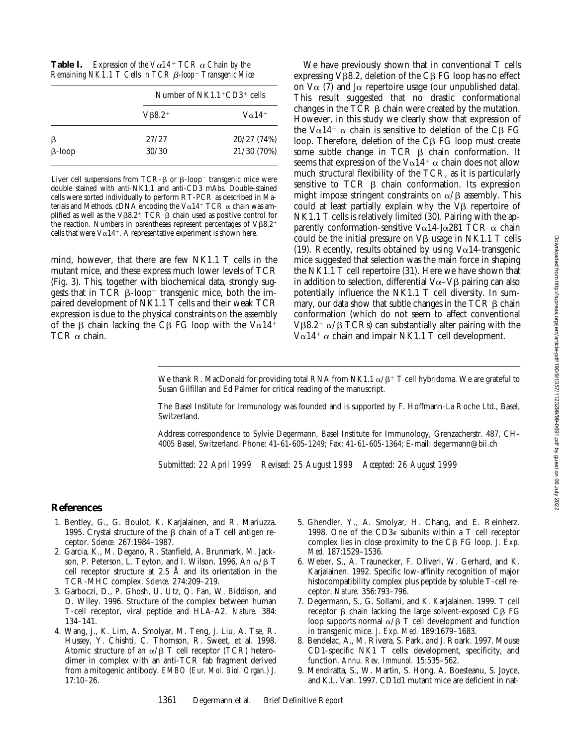| Table I. | Expression of the $V\alpha 14^+$ TCR $\alpha$ Chain by the         |  |
|----------|--------------------------------------------------------------------|--|
|          | Remaining NK1.1 T Cells in TCR β-loop <sup>-</sup> Transgenic Mice |  |

|                            | Number of $NK1.1+CD3+$ cells |                           |  |
|----------------------------|------------------------------|---------------------------|--|
|                            | $VB8.2^+$                    | $V\alpha$ 14 <sup>+</sup> |  |
| β                          | 27/27                        | 20/27 (74%)               |  |
| $\beta$ -loop <sup>-</sup> | 30/30                        | 21/30 (70%)               |  |

Liver cell suspensions from TCR- $\beta$  or  $\beta$ -loop<sup>-</sup> transgenic mice were double stained with anti-NK1.1 and anti-CD3 mAbs. Double-stained cells were sorted individually to perform RT-PCR as described in Materials and Methods. cDNA encoding the V $\alpha$ 14<sup>+</sup> TCR  $\alpha$  chain was amplified as well as the V $\beta$ 8.2<sup>+</sup> TCR  $\beta$  chain used as positive control for the reaction. Numbers in parentheses represent percentages of  $V\beta8.2^+$ cells that were  $V\alpha 14^+$ . A representative experiment is shown here.

mind, however, that there are few NK1.1 T cells in the mutant mice, and these express much lower levels of TCR (Fig. 3). This, together with biochemical data, strongly suggests that in  $TCR \beta-loop$  transgenic mice, both the impaired development of NK1.1 T cells and their weak TCR expression is due to the physical constraints on the assembly of the  $\beta$  chain lacking the C $\beta$  FG loop with the V $\alpha$ 14<sup>+</sup> TCR  $\alpha$  chain.

We have previously shown that in conventional T cells expressing  $V\beta8.2$ , deletion of the C $\beta$  FG loop has no effect on  $V\alpha$  (7) and J $\alpha$  repertoire usage (our unpublished data). This result suggested that no drastic conformational changes in the  $TCR$   $\beta$  chain were created by the mutation. However, in this study we clearly show that expression of the V $\alpha$ 14<sup>+</sup>  $\alpha$  chain is sensitive to deletion of the C $\beta$  FG loop. Therefore, deletion of the C<sub>B</sub> FG loop must create some subtle change in  $TCR$   $\beta$  chain conformation. It seems that expression of the V $\alpha$ 14<sup>+</sup>  $\alpha$  chain does not allow much structural flexibility of the TCR, as it is particularly sensitive to  $TCR$   $\beta$  chain conformation. Its expression might impose stringent constraints on  $\alpha/\beta$  assembly. This could at least partially explain why the  $V\beta$  repertoire of NK1.1 T cells is relatively limited (30). Pairing with the apparently conformation-sensitive V $\alpha$ 14-J $\alpha$ 281 TCR  $\alpha$  chain could be the initial pressure on  $V\beta$  usage in NK1.1 T cells (19). Recently, results obtained by using  $V\alpha$ 14-transgenic mice suggested that selection was the main force in shaping the NK1.1 T cell repertoire (31). Here we have shown that in addition to selection, differential  $V\alpha-V\beta$  pairing can also potentially influence the NK1.1 T cell diversity. In summary, our data show that subtle changes in the  $TCR \beta$  chain conformation (which do not seem to affect conventional V $\beta$ 8.2<sup>+</sup>  $\alpha$ / $\beta$  TCRs) can substantially alter pairing with the  $V\alpha$ 14<sup>+</sup>  $\alpha$  chain and impair NK1.1 T cell development.

We thank R. MacDonald for providing total RNA from NK1.1  $\alpha/\beta$ <sup>+</sup> T cell hybridoma. We are grateful to Susan Gilfillan and Ed Palmer for critical reading of the manuscript.

The Basel Institute for Immunology was founded and is supported by F. Hoffmann-La Roche Ltd., Basel, Switzerland.

Address correspondence to Sylvie Degermann, Basel Institute for Immunology, Grenzacherstr. 487, CH-4005 Basel, Switzerland. Phone: 41-61-605-1249; Fax: 41-61-605-1364; E-mail: degermann@bii.ch

*Submitted: 22 April 1999 Revised: 25 August 1999 Accepted: 26 August 1999*

### **References**

- 1. Bentley, G., G. Boulot, K. Karjalainen, and R. Mariuzza. 1995. Crystal structure of the  $\beta$  chain of a T cell antigen receptor. *Science.* 267:1984–1987.
- 2. Garcia, K., M. Degano, R. Stanfield, A. Brunmark, M. Jackson, P. Peterson, L. Teyton, and I. Wilson. 1996. An  $\alpha/\beta$  T cell receptor structure at 2.5 Å and its orientation in the TCR-MHC complex. *Science.* 274:209–219.
- 3. Garboczi, D., P. Ghosh, U. Utz, Q. Fan, W. Biddison, and D. Wiley. 1996. Structure of the complex between human T-cell receptor, viral peptide and HLA-A2. *Nature.* 384: 134–141.
- 4. Wang, J., K. Lim, A. Smolyar, M. Teng, J. Liu, A. Tse, R. Hussey, Y. Chishti, C. Thomson, R. Sweet, et al. 1998. Atomic structure of an  $\alpha/\beta$  T cell receptor (TCR) heterodimer in complex with an anti-TCR fab fragment derived from a mitogenic antibody. *EMBO (Eur. Mol. Biol. Organ.) J.* 17:10–26.
- 5. Ghendler, Y., A. Smolyar, H. Chang, and E. Reinherz. 1998. One of the CD3e subunits within a T cell receptor complex lies in close proximity to the  $C\beta$  FG loop. *J. Exp. Med.* 187:1529–1536.
- 6. Weber, S., A. Traunecker, F. Oliveri, W. Gerhard, and K. Karjalainen. 1992. Specific low-affinity recognition of major histocompatibility complex plus peptide by soluble T-cell receptor. *Nature.* 356:793–796.
- 7. Degermann, S., G. Sollami, and K. Karjalainen. 1999. T cell receptor  $\beta$  chain lacking the large solvent-exposed C $\beta$  FG loop supports normal  $\alpha/\beta$  T cell development and function in transgenic mice. *J. Exp. Med.* 189:1679–1683.
- 8. Bendelac, A., M. Rivera, S. Park, and J. Roark. 1997. Mouse CD1-specific NK1 T cells: development, specificity, and function. *Annu. Rev. Immunol.* 15:535–562.
- 9. Mendiratta, S., W. Martin, S. Hong, A. Boesteanu, S. Joyce, and K.L. Van. 1997. CD1d1 mutant mice are deficient in nat-